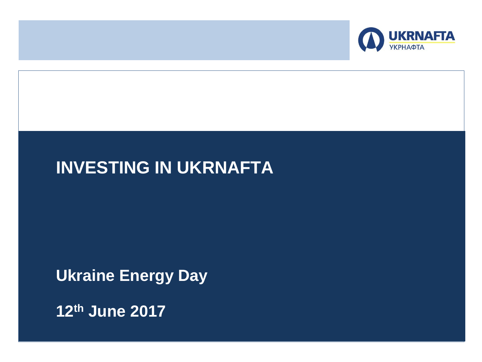

# **INVESTING IN UKRNAFTA**

# **Ukraine Energy Day**

**12th June 2017**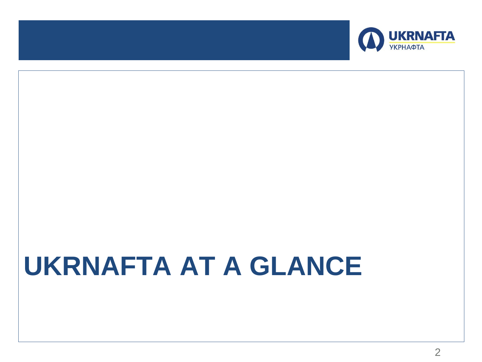

# **UKRNAFTA AT A GLANCE**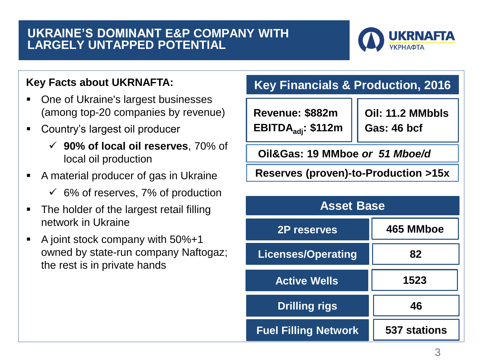#### **UKRAINE'S DOMINANT E&P COMPANY WITH LARGELY UNTAPPED POTENTIAL**



### **Key Facts about UKRNAFTA:**

- One of Ukraine's largest businesses (among top-20 companies by revenue)
- Country's largest oil producer
	- **90% of local oil reserves**, 70% of local oil production
- A material producer of gas in Ukraine
	- $\checkmark$  6% of reserves, 7% of production
- The holder of the largest retail filling network in Ukraine
- A joint stock company with 50%+1 owned by state-run company Naftogaz; the rest is in private hands

# **Key Financials & Production, 2016**

**Revenue: \$882m EBITDAadj: \$112m** 

**Oil: 11.2 MMbbls Gas: 46 bcf**

**Oil&Gas: 19 MMboe** *or 51 Mboe/d*

**Reserves (proven)-to-Production >15x**

| <b>Asset Base</b>           |                     |
|-----------------------------|---------------------|
| <b>2P reserves</b>          | 465 MMboe           |
| <b>Licenses/Operating</b>   | 82                  |
| <b>Active Wells</b>         | 1523                |
| <b>Drilling rigs</b>        | 46                  |
| <b>Fuel Filling Network</b> | <b>537 stations</b> |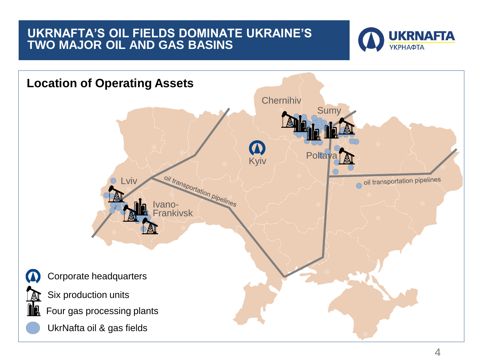# **UKRNAFTA'S OIL FIELDS DOMINATE UKRAINE'S TWO MAJOR OIL AND GAS BASINS**



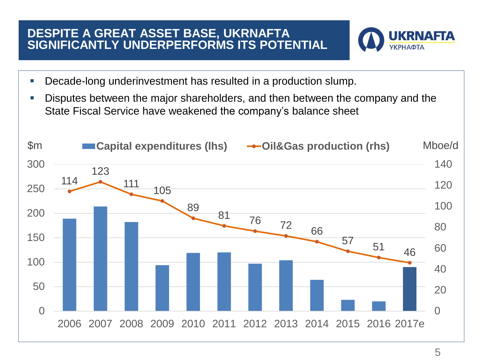## **DESPITE A GREAT ASSET BASE, UKRNAFTA SIGNIFICANTLY UNDERPERFORMS ITS POTENTIAL**



- Decade-long underinvestment has resulted in a production slump.
- Disputes between the major shareholders, and then between the company and the State Fiscal Service have weakened the company's balance sheet

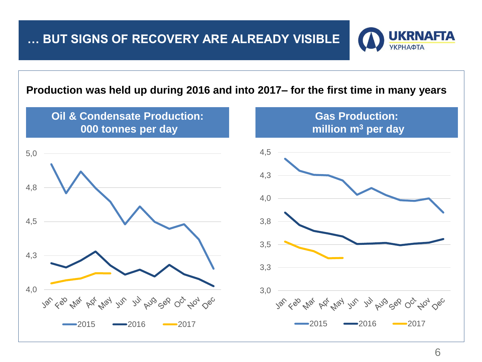# **… BUT SIGNS OF RECOVERY ARE ALREADY VISIBLE**



#### **Production was held up during 2016 and into 2017– for the first time in many years**

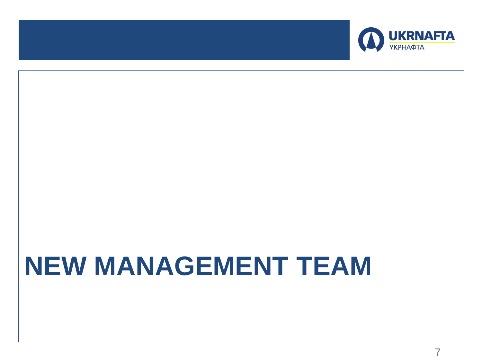

# **NEW MANAGEMENT TEAM**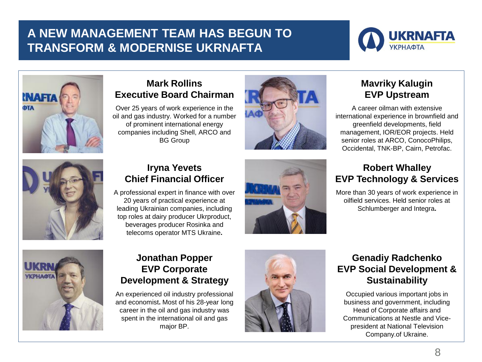# **A NEW MANAGEMENT TEAM HAS BEGUN TO TRANSFORM & MODERNISE UKRNAFTA**





#### **Mark Rollins Executive Board Chairman**

Over 25 years of work experience in the oil and gas industry. Worked for a number of prominent international energy companies including Shell, ARCO and BG Group



#### **Mavriky Kalugin EVP Upstream**

A career oilman with extensive international experience in brownfield and greenfield developments, field management, IOR/EOR projects. Held senior roles at ARCO, ConocoPhilips, Occidental, TNK-BP, Cairn, Petrofac.



#### **Iryna Yevets Chief Financial Officer**



#### **Robert Whalley EVP Technology & Services**

More than 30 years of work experience in oilfield services. Held senior roles at Schlumberger and Integra**.** 



#### **Jonathan Popper EVP Corporate Development & Strategy**

An experienced oil industry professional and economist**.** Most of his 28-year long career in the oil and gas industry was spent in the international oil and gas major BP.



#### **Genadiy Radchenko EVP Social Development & Sustainability**

Occupied various important jobs in business and government, including Head of Corporate affairs and Communications at Nestle and Vicepresident at National Television Company.of Ukraine.

A professional expert in finance with over 20 years of practical experience at leading Ukrainian companies, including top roles at dairy producer Ukrproduct, beverages producer Rosinka and telecoms operator MTS Ukraine**.**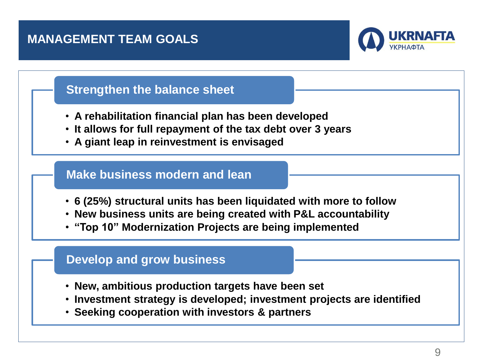# **MANAGEMENT TEAM GOALS**



# **Strengthen the balance sheet**

- **A rehabilitation financial plan has been developed**
- **It allows for full repayment of the tax debt over 3 years**
- **A giant leap in reinvestment is envisaged**

#### **Make business modern and lean**

- **6 (25%) structural units has been liquidated with more to follow**
- **New business units are being created with P&L accountability**
- **"Top 10" Modernization Projects are being implemented**

# **Develop and grow business**

- **New, ambitious production targets have been set**
- **Investment strategy is developed; investment projects are identified**
- **Seeking cooperation with investors & partners**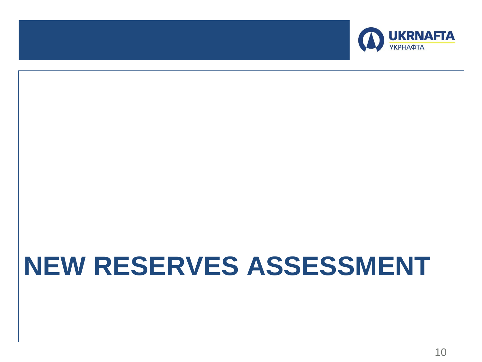

# **NEW RESERVES ASSESSMENT**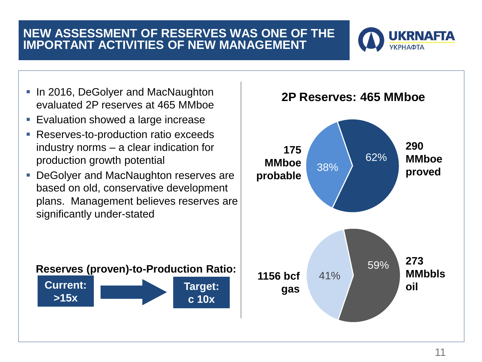# **NEW ASSESSMENT OF RESERVES WAS ONE OF THE IMPORTANT ACTIVITIES OF NEW MANAGEMENT**



- **In 2016, DeGolyer and MacNaughton** evaluated 2P reserves at 465 MMboe
- **Evaluation showed a large increase**
- **Reserves-to-production ratio exceeds** industry norms – a clear indication for production growth potential
- **DeGolyer and MacNaughton reserves are** based on old, conservative development plans. Management believes reserves are significantly under-stated





#### **2P Reserves: 465 MMboe**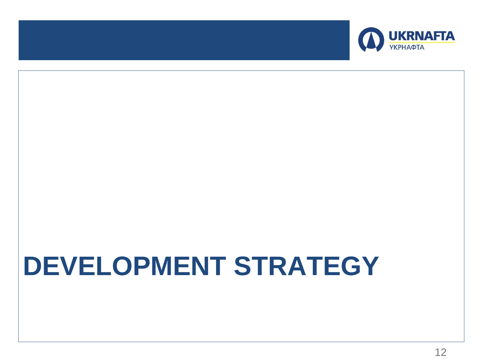

# **DEVELOPMENT STRATEGY**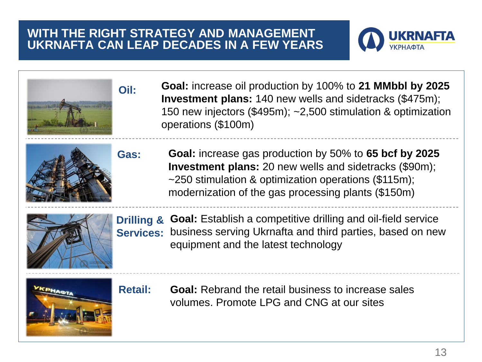### **WITH THE RIGHT STRATEGY AND MANAGEMENT UKRNAFTA CAN LEAP DECADES IN A FEW YEARS**

**Oil:**

**Gas:**



**Goal:** increase oil production by 100% to **21 MMbbl by 2025 Investment plans:** 140 new wells and sidetracks (\$475m); 150 new injectors (\$495m); ~2,500 stimulation & optimization operations (\$100m)



**Goal:** increase gas production by 50% to **65 bcf by 2025 Investment plans:** 20 new wells and sidetracks (\$90m); ~250 stimulation & optimization operations (\$115m); modernization of the gas processing plants (\$150m)



**Goal:** Establish a competitive drilling and oil-field service **Drilling &**  Services: business serving Ukrnafta and third parties, based on new equipment and the latest technology



**Retail: Goal:** Rebrand the retail business to increase sales volumes. Promote LPG and CNG at our sites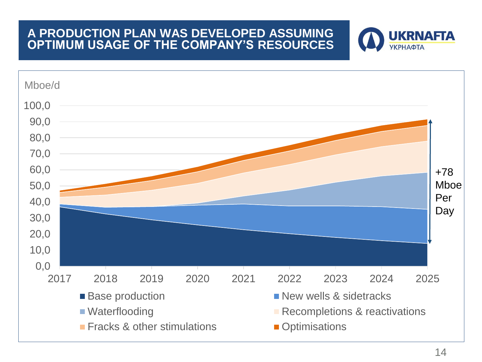### **A PRODUCTION PLAN WAS DEVELOPED ASSUMING OPTIMUM USAGE OF THE COMPANY'S RESOURCES**



**UKRNAFTA** 

**УКРНАФТА**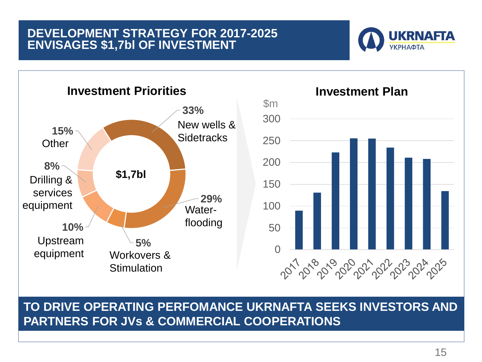### **DEVELOPMENT STRATEGY FOR 2017-2025 ENVISAGES \$1,7bl OF INVESTMENT**





**TO DRIVE OPERATING PERFOMANCE UKRNAFTA SEEKS INVESTORS AND PARTNERS FOR JVs & COMMERCIAL COOPERATIONS**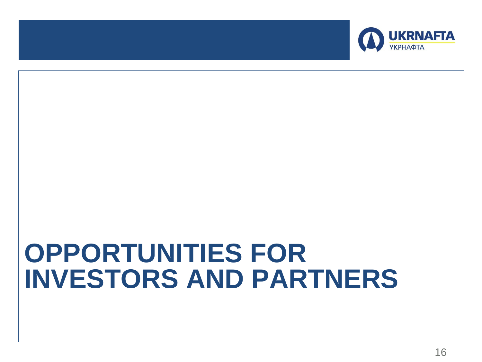

# **OPPORTUNITIES FOR INVESTORS AND PARTNERS**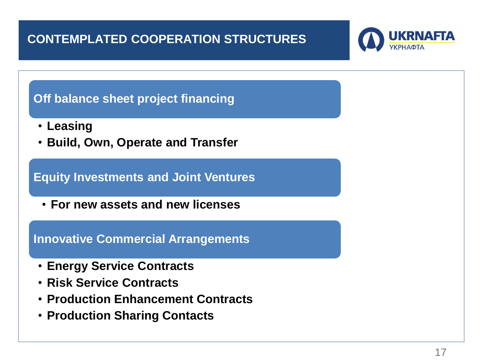# **CONTEMPLATED COOPERATION STRUCTURES**



# **Off balance sheet project financing**

- **Leasing**
- **Build, Own, Operate and Transfer**

# **Equity Investments and Joint Ventures**

• **For new assets and new licenses**

#### **Innovative Commercial Arrangements**

- **Energy Service Contracts**
- **Risk Service Contracts**
- **Production Enhancement Contracts**
- **Production Sharing Contacts**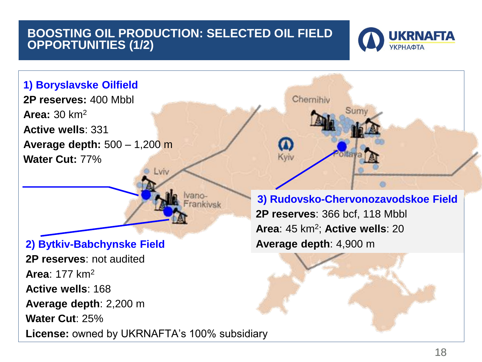# **BOOSTING OIL PRODUCTION: SELECTED OIL FIELD OPPORTUNITIES (1/2)**





**License:** owned by UKRNAFTA's 100% subsidiary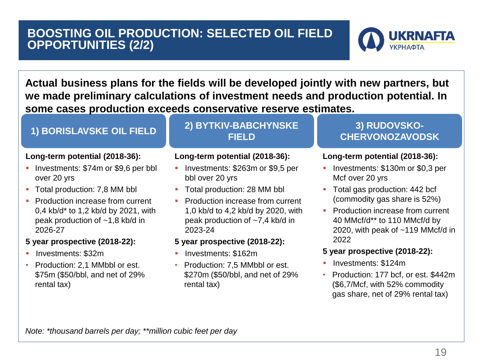# **BOOSTING OIL PRODUCTION: SELECTED OIL FIELD OPPORTUNITIES (2/2)**



**Actual business plans for the fields will be developed jointly with new partners, but we made preliminary calculations of investment needs and production potential. In some cases production exceeds conservative reserve estimates.**

#### **Long-term potential (2018-36):**

- Investments: \$74m or \$9,6 per bbl over 20 yrs
- Total production: 7,8 MM bbl
- **Production increase from current** 0,4 kb/d\* to 1,2 kb/d by 2021, with peak production of ~1,8 kb/d in 2026-27

#### **5 year prospective (2018-22):**

- Investments: \$32m
- Production: 2,1 MMbbl or est. \$75m (\$50/bbl, and net of 29% rental tax)

#### **1) BORISLAVSKE OIL FIELD 2) BYTKIV-BABCHYNSKE FIELD**

#### **Long-term potential (2018-36):**

- **Investments: \$263m or \$9,5 per** bbl over 20 yrs
- Total production: 28 MM bbl
- **Production increase from current** 1,0 kb/d to 4,2 kb/d by 2020, with peak production of ~7,4 kb/d in 2023-24

#### **5 year prospective (2018-22):**

- Investments: \$162m
- Production: 7,5 MMbbl or est. \$270m (\$50/bbl, and net of 29% rental tax)

#### **3) RUDOVSKO-CHERVONOZAVODSK**

#### **Long-term potential (2018-36):**

- **Investments: \$130m or \$0,3 per** Mcf over 20 yrs
- Total gas production: 442 bcf (commodity gas share is 52%)
- **Production increase from current** 40 MMcf/d\*\* to 110 MMcf/d by 2020, with peak of ~119 MMcf/d in 2022

#### **5 year prospective (2018-22):**

- Investments: \$124m
- Production: 177 bcf, or est. \$442m (\$6,7/Mcf, with 52% commodity gas share, net of 29% rental tax)

*Note: \*thousand barrels per day; \*\*million cubic feet per day*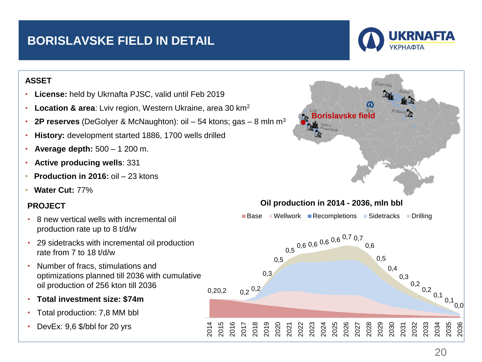# **BORISLAVSKE FIELD IN DETAIL**



#### **ASSET**

- **License:** held by Ukrnafta PJSC, valid until Feb 2019
- **Location & area**: Lviv region, Western Ukraine, area 30 km<sup>2</sup>
- **2P reserves** (DeGolyer & McNaughton): oil  $-54$  ktons; gas  $-8$  mln m<sup>3</sup>

2014 2015 2016

- **History:** development started 1886, 1700 wells drilled
- **Average depth:** 500 1 200 m.
- **Active producing wells**: 331
- **Production in 2016:** oil 23 ktons
- **Water Cut:** 77%

#### **PROJECT**

- 8 new vertical wells with incremental oil production rate up to 8 t/d/w
- 29 sidetracks with incremental oil production rate from 7 to 18 t/d/w
- Number of fracs, stimulations and optimizations planned till 2036 with cumulative oil production of 256 kton till 2036
- **Total investment size: \$74m**
- Total production: 7,8 MM bbl
- DevEx: 9,6 \$/bbl for 20 yrs



20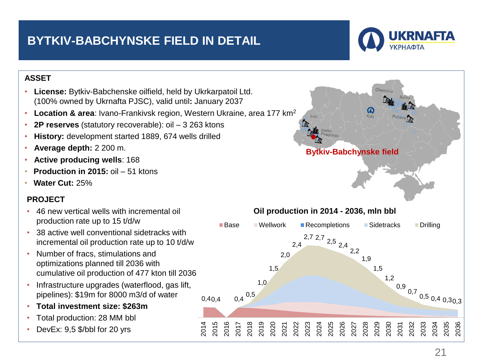# **BYTKIV-BABCHYNSKE FIELD IN DETAIL**



#### **ASSET**

- **License:** Bytkiv-Babchenske oilfield, held by Ukrkarpatoil Ltd. (100% owned by Ukrnafta PJSC), valid until**:** January 2037
- **Location & area**: Ivano-Frankivsk region, Western Ukraine, area 177 km<sup>2</sup>

2014 2015 2016

- **2P reserves** (statutory recoverable): oil 3 263 ktons
- **History:** development started 1889, 674 wells drilled
- **Average depth:** 2 200 m.
- **Active producing wells**: 168
- **Production in 2015:** oil 51 ktons
- **Water Cut:** 25%

#### **PROJECT**

- 46 new vertical wells with incremental oil production rate up to 15 t/d/w
- 38 active well conventional sidetracks with incremental oil production rate up to 10 t/d/w
- Number of fracs, stimulations and optimizations planned till 2036 with cumulative oil production of 477 kton till 2036
- Infrastructure upgrades (waterflood, gas lift, pipelines): \$19m for 8000 m3/d of water
- **Total investment size: \$263m**
- Total production: 28 MM bbl
- DevEx: 9,5 \$/bbl for 20 yrs

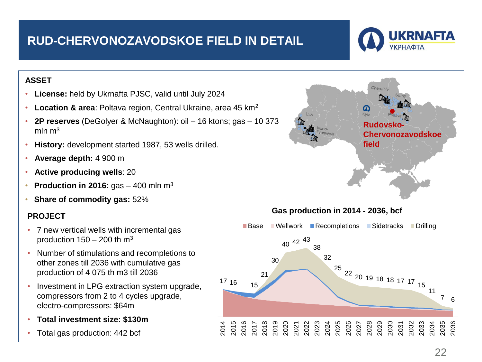# **RUD-CHERVONOZAVODSKOE FIELD IN DETAIL**



#### **ASSET**

- **License:** held by Ukrnafta PJSC, valid until July 2024
- **Location & area**: Poltava region, Central Ukraine, area 45 km<sup>2</sup>
- **2P reserves** (DeGolyer & McNaughton): oil 16 ktons; gas 10 373 mln  $m<sup>3</sup>$

2014 2015

- **History:** development started 1987, 53 wells drilled.
- **Average depth:** 4 900 m
- **Active producing wells**: 20
- **Production in 2016:** gas 400 mln m<sup>3</sup>
- **Share of commodity gas:** 52%

#### **PROJECT**

- 7 new vertical wells with incremental gas production  $150 - 200$  th m<sup>3</sup>
- Number of stimulations and recompletions to other zones till 2036 with cumulative gas production of 4 075 th m3 till 2036
- Investment in LPG extraction system upgrade, compressors from 2 to 4 cycles upgrade, electro-compressors: \$64m
- **Total investment size: \$130m**
- Total gas production: 442 bcf

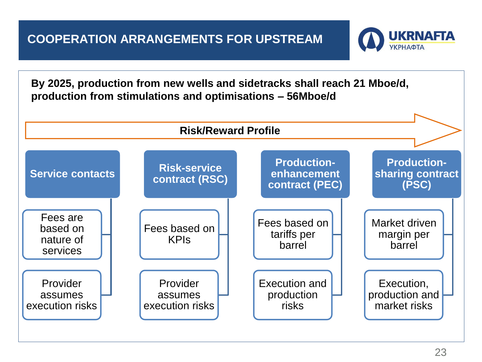# **COOPERATION ARRANGEMENTS FOR UPSTREAM**



**By 2025, production from new wells and sidetracks shall reach 21 Mboe/d, production from stimulations and optimisations – 56Mboe/d**

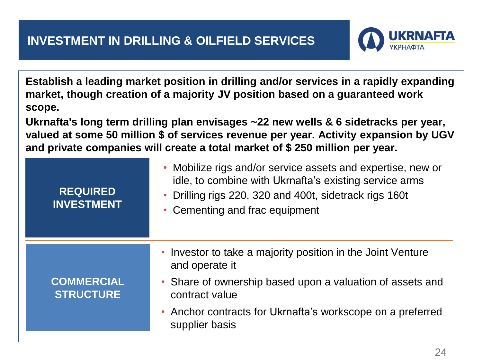

**Establish a leading market position in drilling and/or services in a rapidly expanding market, though creation of a majority JV position based on a guaranteed work scope.**

**Ukrnafta's long term drilling plan envisages ~22 new wells & 6 sidetracks per year, valued at some 50 million \$ of services revenue per year. Activity expansion by UGV and private companies will create a total market of \$ 250 million per year.** 

| <b>REQUIRED</b><br><b>INVESTMENT</b>  | • Mobilize rigs and/or service assets and expertise, new or<br>idle, to combine with Ukrnafta's existing service arms<br>Drilling rigs 220. 320 and 400t, sidetrack rigs 160t<br>• Cementing and frac equipment |
|---------------------------------------|-----------------------------------------------------------------------------------------------------------------------------------------------------------------------------------------------------------------|
|                                       | • Investor to take a majority position in the Joint Venture<br>and operate it                                                                                                                                   |
| <b>COMMERCIAL</b><br><b>STRUCTURE</b> | • Share of ownership based upon a valuation of assets and<br>contract value                                                                                                                                     |
|                                       | • Anchor contracts for Ukrnafta's workscope on a preferred<br>supplier basis                                                                                                                                    |